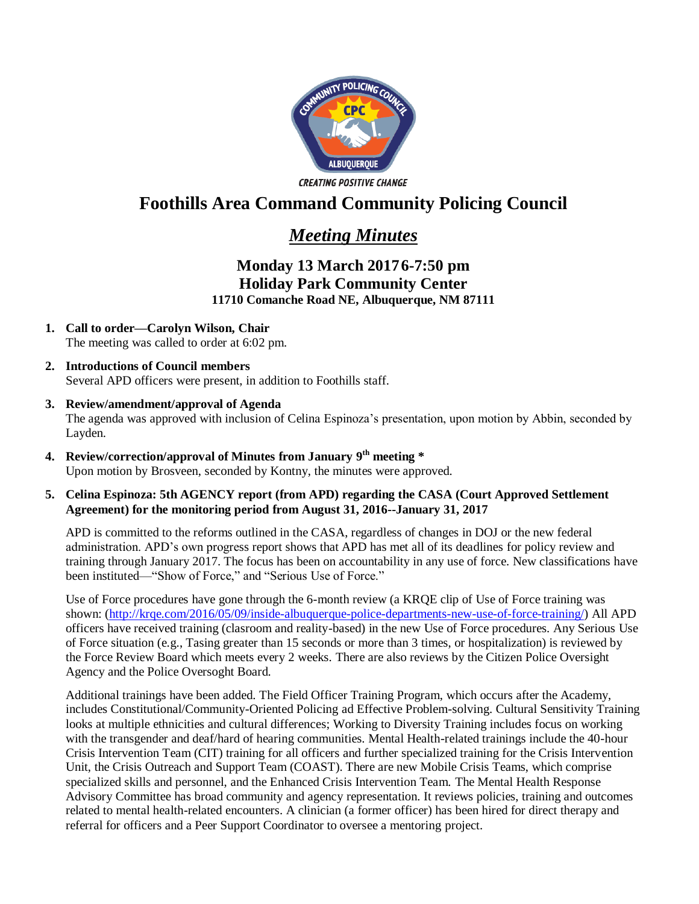

# **Foothills Area Command Community Policing Council**

## *Meeting Minutes*

### **Monday 13 March 20176-7:50 pm Holiday Park Community Center 11710 Comanche Road NE, Albuquerque, NM 87111**

- **1. Call to order—Carolyn Wilson, Chair** The meeting was called to order at 6:02 pm.
- **2. Introductions of Council members** Several APD officers were present, in addition to Foothills staff.
- **3. Review/amendment/approval of Agenda**

The agenda was approved with inclusion of Celina Espinoza's presentation, upon motion by Abbin, seconded by Layden.

**4. Review/correction/approval of Minutes from January 9 th meeting \*** Upon motion by Brosveen, seconded by Kontny, the minutes were approved.

#### **5. Celina Espinoza: 5th AGENCY report (from APD) regarding the CASA (Court Approved Settlement Agreement) for the monitoring period from August 31, 2016--January 31, 2017**

APD is committed to the reforms outlined in the CASA, regardless of changes in DOJ or the new federal administration. APD's own progress report shows that APD has met all of its deadlines for policy review and training through January 2017. The focus has been on accountability in any use of force. New classifications have been instituted—"Show of Force," and "Serious Use of Force."

Use of Force procedures have gone through the 6-month review (a KRQE clip of Use of Force training was shown: [\(http://krqe.com/2016/05/09/inside-albuquerque-police-departments-new-use-of-force-training/\)](http://krqe.com/2016/05/09/inside-albuquerque-police-departments-new-use-of-force-training/) All APD officers have received training (clasroom and reality-based) in the new Use of Force procedures. Any Serious Use of Force situation (e.g., Tasing greater than 15 seconds or more than 3 times, or hospitalization) is reviewed by the Force Review Board which meets every 2 weeks. There are also reviews by the Citizen Police Oversight Agency and the Police Oversoght Board.

Additional trainings have been added. The Field Officer Training Program, which occurs after the Academy, includes Constitutional/Community-Oriented Policing ad Effective Problem-solving. Cultural Sensitivity Training looks at multiple ethnicities and cultural differences; Working to Diversity Training includes focus on working with the transgender and deaf/hard of hearing communities. Mental Health-related trainings include the 40-hour Crisis Intervention Team (CIT) training for all officers and further specialized training for the Crisis Intervention Unit, the Crisis Outreach and Support Team (COAST). There are new Mobile Crisis Teams, which comprise specialized skills and personnel, and the Enhanced Crisis Intervention Team. The Mental Health Response Advisory Committee has broad community and agency representation. It reviews policies, training and outcomes related to mental health-related encounters. A clinician (a former officer) has been hired for direct therapy and referral for officers and a Peer Support Coordinator to oversee a mentoring project.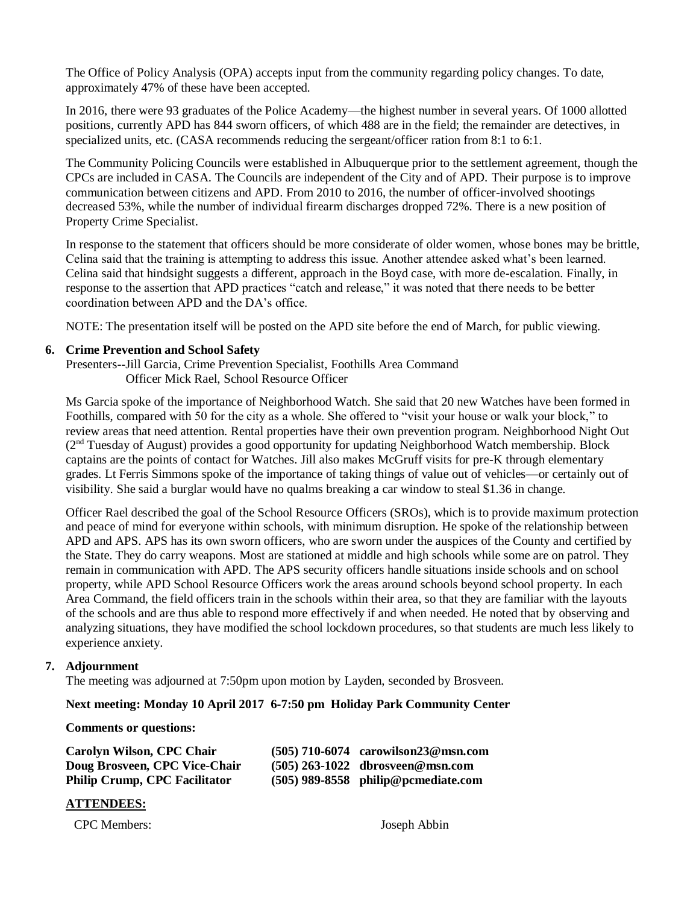The Office of Policy Analysis (OPA) accepts input from the community regarding policy changes. To date, approximately 47% of these have been accepted.

In 2016, there were 93 graduates of the Police Academy—the highest number in several years. Of 1000 allotted positions, currently APD has 844 sworn officers, of which 488 are in the field; the remainder are detectives, in specialized units, etc. (CASA recommends reducing the sergeant/officer ration from 8:1 to 6:1.

The Community Policing Councils were established in Albuquerque prior to the settlement agreement, though the CPCs are included in CASA. The Councils are independent of the City and of APD. Their purpose is to improve communication between citizens and APD. From 2010 to 2016, the number of officer-involved shootings decreased 53%, while the number of individual firearm discharges dropped 72%. There is a new position of Property Crime Specialist.

In response to the statement that officers should be more considerate of older women, whose bones may be brittle, Celina said that the training is attempting to address this issue. Another attendee asked what's been learned. Celina said that hindsight suggests a different, approach in the Boyd case, with more de-escalation. Finally, in response to the assertion that APD practices "catch and release," it was noted that there needs to be better coordination between APD and the DA's office.

NOTE: The presentation itself will be posted on the APD site before the end of March, for public viewing.

#### **6. Crime Prevention and School Safety**

Presenters--Jill Garcia, Crime Prevention Specialist, Foothills Area Command Officer Mick Rael, School Resource Officer

Ms Garcia spoke of the importance of Neighborhood Watch. She said that 20 new Watches have been formed in Foothills, compared with 50 for the city as a whole. She offered to "visit your house or walk your block," to review areas that need attention. Rental properties have their own prevention program. Neighborhood Night Out (2nd Tuesday of August) provides a good opportunity for updating Neighborhood Watch membership. Block captains are the points of contact for Watches. Jill also makes McGruff visits for pre-K through elementary grades. Lt Ferris Simmons spoke of the importance of taking things of value out of vehicles—or certainly out of visibility. She said a burglar would have no qualms breaking a car window to steal \$1.36 in change.

Officer Rael described the goal of the School Resource Officers (SROs), which is to provide maximum protection and peace of mind for everyone within schools, with minimum disruption. He spoke of the relationship between APD and APS. APS has its own sworn officers, who are sworn under the auspices of the County and certified by the State. They do carry weapons. Most are stationed at middle and high schools while some are on patrol. They remain in communication with APD. The APS security officers handle situations inside schools and on school property, while APD School Resource Officers work the areas around schools beyond school property. In each Area Command, the field officers train in the schools within their area, so that they are familiar with the layouts of the schools and are thus able to respond more effectively if and when needed. He noted that by observing and analyzing situations, they have modified the school lockdown procedures, so that students are much less likely to experience anxiety.

### **7. Adjournment**

The meeting was adjourned at 7:50pm upon motion by Layden, seconded by Brosveen.

#### **Next meeting: Monday 10 April 2017 6-7:50 pm Holiday Park Community Center**

#### **Comments or questions:**

| Carolyn Wilson, CPC Chair            | $(505)$ 710-6074 carowilson23@msn.com |
|--------------------------------------|---------------------------------------|
| Doug Brosveen, CPC Vice-Chair        | $(505)$ 263-1022 dbrosveen@msn.com    |
| <b>Philip Crump, CPC Facilitator</b> | $(505)$ 989-8558 philip@pcmediate.com |

#### **ATTENDEES:**

CPC Members: Joseph Abbin